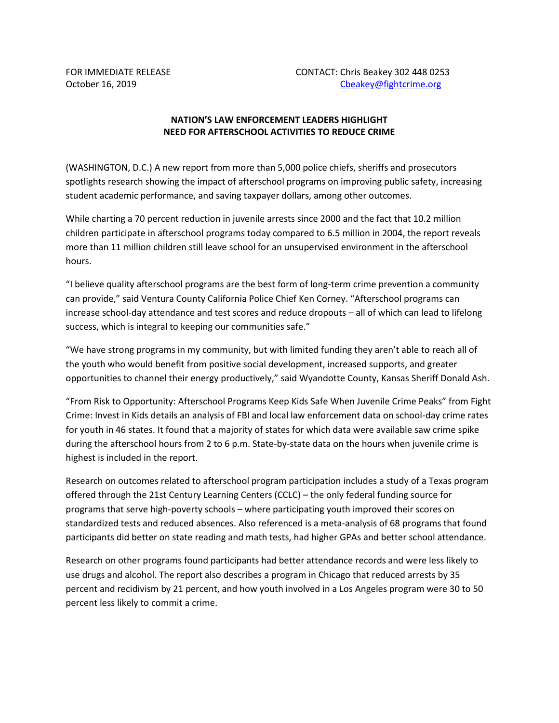## **NATION'S LAW ENFORCEMENT LEADERS HIGHLIGHT NEED FOR AFTERSCHOOL ACTIVITIES TO REDUCE CRIME**

(WASHINGTON, D.C.) A new report from more than 5,000 police chiefs, sheriffs and prosecutors spotlights research showing the impact of afterschool programs on improving public safety, increasing student academic performance, and saving taxpayer dollars, among other outcomes.

While charting a 70 percent reduction in juvenile arrests since 2000 and the fact that 10.2 million children participate in afterschool programs today compared to 6.5 million in 2004, the report reveals more than 11 million children still leave school for an unsupervised environment in the afterschool hours.

"I believe quality afterschool programs are the best form of long-term crime prevention a community can provide," said Ventura County California Police Chief Ken Corney. "Afterschool programs can increase school-day attendance and test scores and reduce dropouts – all of which can lead to lifelong success, which is integral to keeping our communities safe."

"We have strong programs in my community, but with limited funding they aren't able to reach all of the youth who would benefit from positive social development, increased supports, and greater opportunities to channel their energy productively," said Wyandotte County, Kansas Sheriff Donald Ash.

"From Risk to Opportunity: Afterschool Programs Keep Kids Safe When Juvenile Crime Peaks" from Fight Crime: Invest in Kids details an analysis of FBI and local law enforcement data on school-day crime rates for youth in 46 states. It found that a majority of states for which data were available saw crime spike during the afterschool hours from 2 to 6 p.m. State-by-state data on the hours when juvenile crime is highest is included in the report.

Research on outcomes related to afterschool program participation includes a study of a Texas program offered through the 21st Century Learning Centers (CCLC) – the only federal funding source for programs that serve high-poverty schools – where participating youth improved their scores on standardized tests and reduced absences. Also referenced is a meta-analysis of 68 programs that found participants did better on state reading and math tests, had higher GPAs and better school attendance.

Research on other programs found participants had better attendance records and were less likely to use drugs and alcohol. The report also describes a program in Chicago that reduced arrests by 35 percent and recidivism by 21 percent, and how youth involved in a Los Angeles program were 30 to 50 percent less likely to commit a crime.